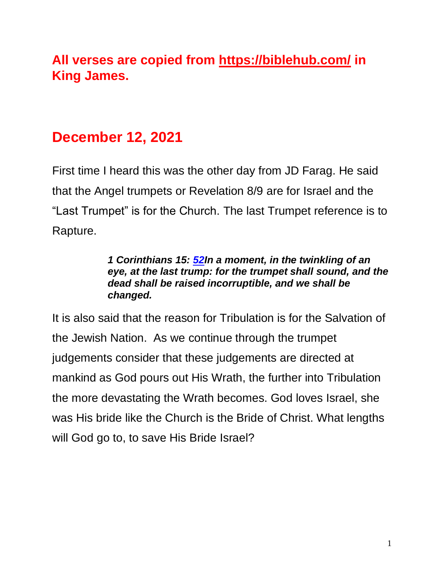# **All verses are copied from https://biblehub.com/ in King James.**

# **December 12, 2021**

First time I heard this was the other day from JD Farag. He said that the Angel trumpets or Revelation 8/9 are for Israel and the "Last Trumpet" is for the Church. The last Trumpet reference is to Rapture.

#### *1 Corinthians 15: [52I](https://biblehub.com/1_corinthians/15-52.htm)n a moment, in the twinkling of an eye, at the last trump: for the trumpet shall sound, and the dead shall be raised incorruptible, and we shall be changed.*

It is also said that the reason for Tribulation is for the Salvation of the Jewish Nation. As we continue through the trumpet judgements consider that these judgements are directed at mankind as God pours out His Wrath, the further into Tribulation the more devastating the Wrath becomes. God loves Israel, she was His bride like the Church is the Bride of Christ. What lengths will God go to, to save His Bride Israel?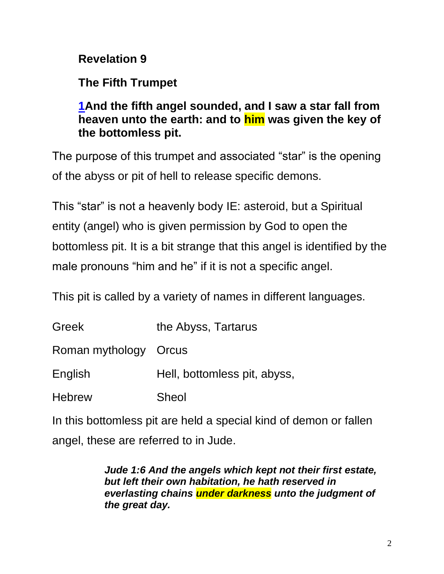## **Revelation 9**

## **The Fifth Trumpet**

### **[1A](https://biblehub.com/revelation/9-1.htm)nd the fifth angel sounded, and I saw a star fall from heaven unto the earth: and to him was given the key of the bottomless pit.**

The purpose of this trumpet and associated "star" is the opening of the abyss or pit of hell to release specific demons.

This "star" is not a heavenly body IE: asteroid, but a Spiritual entity (angel) who is given permission by God to open the bottomless pit. It is a bit strange that this angel is identified by the male pronouns "him and he" if it is not a specific angel.

This pit is called by a variety of names in different languages.

| Greek                 | the Abyss, Tartarus          |
|-----------------------|------------------------------|
| Roman mythology Orcus |                              |
| English               | Hell, bottomless pit, abyss, |
| <b>Hebrew</b>         | Sheol                        |

In this bottomless pit are held a special kind of demon or fallen angel, these are referred to in Jude.

> *Jude 1:6 And the angels which kept not their first estate, but left their own habitation, he hath reserved in everlasting chains under darkness unto the judgment of the great day.*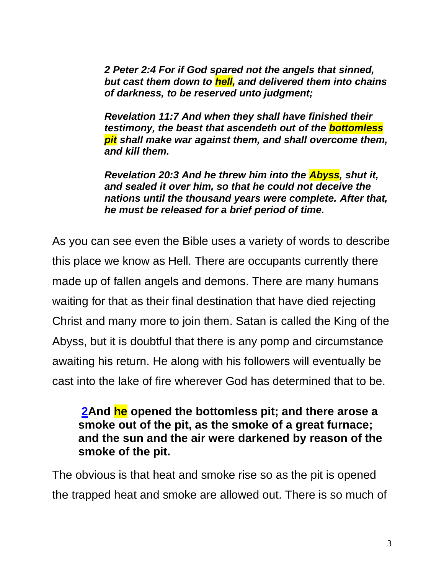*2 Peter 2:4 For if God spared not the angels that sinned, but cast them down to hell, and delivered them into chains of darkness, to be reserved unto judgment;*

*Revelation 11:7 And when they shall have finished their testimony, the beast that ascendeth out of the bottomless pit shall make war against them, and shall overcome them, and kill them.*

*Revelation 20:3 And he threw him into the Abyss, shut it, and sealed it over him, so that he could not deceive the nations until the thousand years were complete. After that, he must be released for a brief period of time.*

As you can see even the Bible uses a variety of words to describe this place we know as Hell. There are occupants currently there made up of fallen angels and demons. There are many humans waiting for that as their final destination that have died rejecting Christ and many more to join them. Satan is called the King of the Abyss, but it is doubtful that there is any pomp and circumstance awaiting his return. He along with his followers will eventually be cast into the lake of fire wherever God has determined that to be.

#### **[2A](https://biblehub.com/revelation/9-2.htm)nd he opened the bottomless pit; and there arose a smoke out of the pit, as the smoke of a great furnace; and the sun and the air were darkened by reason of the smoke of the pit.**

The obvious is that heat and smoke rise so as the pit is opened the trapped heat and smoke are allowed out. There is so much of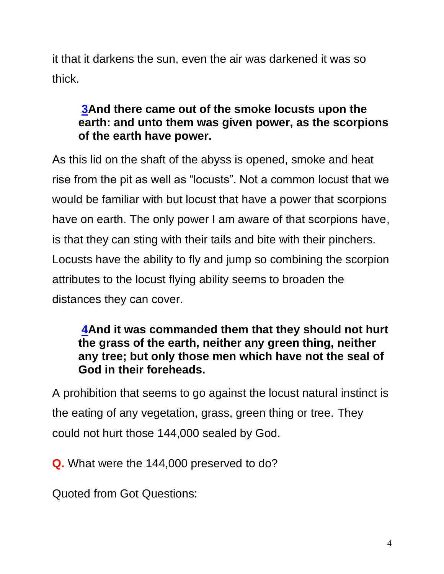it that it darkens the sun, even the air was darkened it was so thick.

### **[3A](https://biblehub.com/revelation/9-3.htm)nd there came out of the smoke locusts upon the earth: and unto them was given power, as the scorpions of the earth have power.**

As this lid on the shaft of the abyss is opened, smoke and heat rise from the pit as well as "locusts". Not a common locust that we would be familiar with but locust that have a power that scorpions have on earth. The only power I am aware of that scorpions have, is that they can sting with their tails and bite with their pinchers. Locusts have the ability to fly and jump so combining the scorpion attributes to the locust flying ability seems to broaden the distances they can cover.

#### **[4A](https://biblehub.com/revelation/9-4.htm)nd it was commanded them that they should not hurt the grass of the earth, neither any green thing, neither any tree; but only those men which have not the seal of God in their foreheads.**

A prohibition that seems to go against the locust natural instinct is the eating of any vegetation, grass, green thing or tree. They could not hurt those 144,000 sealed by God.

**Q.** What were the 144,000 preserved to do?

Quoted from Got Questions: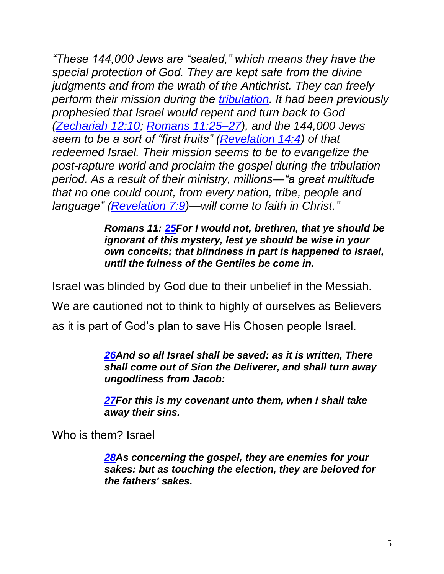*"These 144,000 Jews are "sealed," which means they have the special protection of God. They are kept safe from the divine judgments and from the wrath of the Antichrist. They can freely perform their mission during the [tribulation.](https://www.gotquestions.org/tribulation.html) It had been previously prophesied that Israel would repent and turn back to God [\(Zechariah 12:10;](https://biblia.com/bible/kjv1900/Zech%2012.10) [Romans 11:25–27\)](https://biblia.com/bible/kjv1900/Rom%2011.25%E2%80%9327), and the 144,000 Jews seem to be a sort of "first fruits" [\(Revelation 14:4\)](https://biblia.com/bible/kjv1900/Rev%2014.4) of that redeemed Israel. Their mission seems to be to evangelize the post-rapture world and proclaim the gospel during the tribulation period. As a result of their ministry, millions—"a great multitude that no one could count, from every nation, tribe, people and language" [\(Revelation 7:9\)](https://biblia.com/bible/kjv1900/Rev%207.9)—will come to faith in Christ."*

> *Romans 11: [25F](https://biblehub.com/romans/11-25.htm)or I would not, brethren, that ye should be ignorant of this mystery, lest ye should be wise in your own conceits; that blindness in part is happened to Israel, until the fulness of the Gentiles be come in.*

Israel was blinded by God due to their unbelief in the Messiah.

We are cautioned not to think to highly of ourselves as Believers

as it is part of God's plan to save His Chosen people Israel.

*[26A](https://biblehub.com/romans/11-26.htm)nd so all Israel shall be saved: as it is written, There shall come out of Sion the Deliverer, and shall turn away ungodliness from Jacob:*

*[27F](https://biblehub.com/romans/11-27.htm)or this is my covenant unto them, when I shall take away their sins.*

Who is them? Israel

*[28A](https://biblehub.com/romans/11-28.htm)s concerning the gospel, they are enemies for your sakes: but as touching the election, they are beloved for the fathers' sakes.*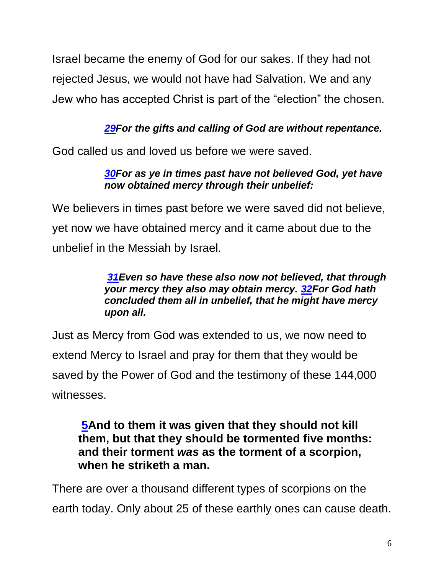Israel became the enemy of God for our sakes. If they had not rejected Jesus, we would not have had Salvation. We and any Jew who has accepted Christ is part of the "election" the chosen.

#### *[29F](https://biblehub.com/romans/11-29.htm)or the gifts and calling of God are without repentance.*

God called us and loved us before we were saved.

#### *[30F](https://biblehub.com/romans/11-30.htm)or as ye in times past have not believed God, yet have now obtained mercy through their unbelief:*

We believers in times past before we were saved did not believe, yet now we have obtained mercy and it came about due to the unbelief in the Messiah by Israel.

#### *[31E](https://biblehub.com/romans/11-31.htm)ven so have these also now not believed, that through your mercy they also may obtain mercy. [32F](https://biblehub.com/romans/11-32.htm)or God hath concluded them all in unbelief, that he might have mercy upon all.*

Just as Mercy from God was extended to us, we now need to extend Mercy to Israel and pray for them that they would be saved by the Power of God and the testimony of these 144,000 witnesses.

#### **[5A](https://biblehub.com/revelation/9-5.htm)nd to them it was given that they should not kill them, but that they should be tormented five months: and their torment** *was* **as the torment of a scorpion, when he striketh a man.**

There are over a thousand different types of scorpions on the earth today. Only about 25 of these earthly ones can cause death.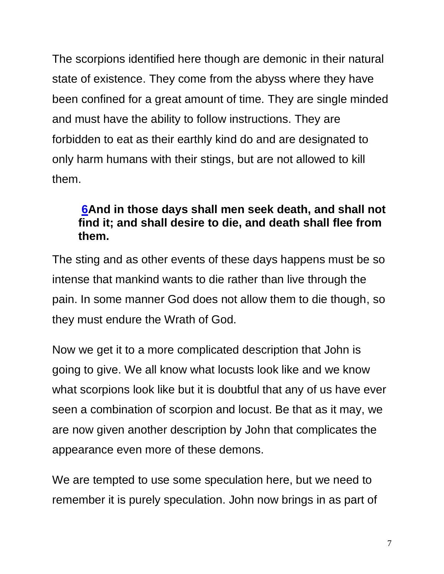The scorpions identified here though are demonic in their natural state of existence. They come from the abyss where they have been confined for a great amount of time. They are single minded and must have the ability to follow instructions. They are forbidden to eat as their earthly kind do and are designated to only harm humans with their stings, but are not allowed to kill them.

#### **[6A](https://biblehub.com/revelation/9-6.htm)nd in those days shall men seek death, and shall not find it; and shall desire to die, and death shall flee from them.**

The sting and as other events of these days happens must be so intense that mankind wants to die rather than live through the pain. In some manner God does not allow them to die though, so they must endure the Wrath of God.

Now we get it to a more complicated description that John is going to give. We all know what locusts look like and we know what scorpions look like but it is doubtful that any of us have ever seen a combination of scorpion and locust. Be that as it may, we are now given another description by John that complicates the appearance even more of these demons.

We are tempted to use some speculation here, but we need to remember it is purely speculation. John now brings in as part of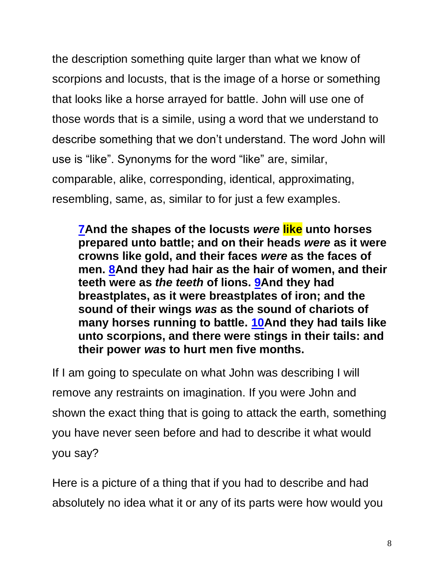the description something quite larger than what we know of scorpions and locusts, that is the image of a horse or something that looks like a horse arrayed for battle. John will use one of those words that is a simile, using a word that we understand to describe something that we don't understand. The word John will use is "like". Synonyms for the word "like" are, similar, comparable, alike, corresponding, identical, approximating, resembling, same, as, similar to for just a few examples.

**[7A](https://biblehub.com/revelation/9-7.htm)nd the shapes of the locusts** *were* **like unto horses prepared unto battle; and on their heads** *were* **as it were crowns like gold, and their faces** *were* **as the faces of men. [8A](https://biblehub.com/revelation/9-8.htm)nd they had hair as the hair of women, and their teeth were as** *the teeth* **of lions. [9A](https://biblehub.com/revelation/9-9.htm)nd they had breastplates, as it were breastplates of iron; and the sound of their wings** *was* **as the sound of chariots of many horses running to battle. [10A](https://biblehub.com/revelation/9-10.htm)nd they had tails like unto scorpions, and there were stings in their tails: and their power** *was* **to hurt men five months.**

If I am going to speculate on what John was describing I will remove any restraints on imagination. If you were John and shown the exact thing that is going to attack the earth, something you have never seen before and had to describe it what would you say?

Here is a picture of a thing that if you had to describe and had absolutely no idea what it or any of its parts were how would you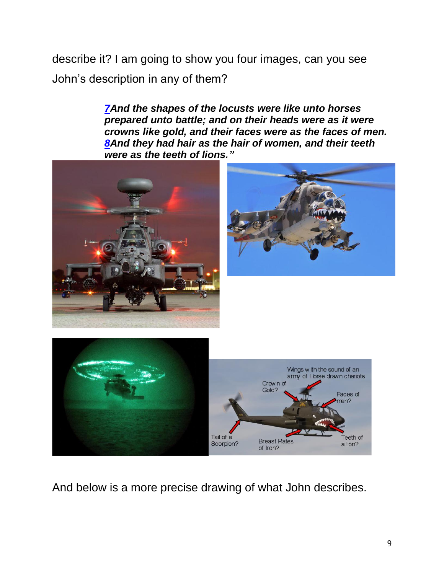describe it? I am going to show you four images, can you see John's description in any of them?

> *[7A](https://biblehub.com/revelation/9-7.htm)nd the shapes of the locusts were like unto horses prepared unto battle; and on their heads were as it were crowns like gold, and their faces were as the faces of men. [8A](https://biblehub.com/revelation/9-8.htm)nd they had hair as the hair of women, and their teeth were as the teeth of lions."*





And below is a more precise drawing of what John describes.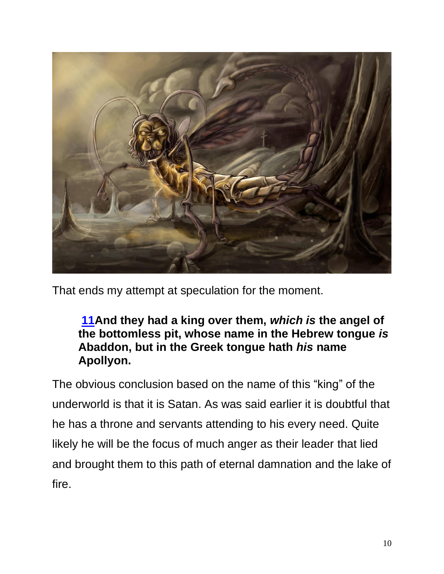

That ends my attempt at speculation for the moment.

**[11A](https://biblehub.com/revelation/9-11.htm)nd they had a king over them,** *which is* **the angel of the bottomless pit, whose name in the Hebrew tongue** *is* **Abaddon, but in the Greek tongue hath** *his* **name Apollyon.**

The obvious conclusion based on the name of this "king" of the underworld is that it is Satan. As was said earlier it is doubtful that he has a throne and servants attending to his every need. Quite likely he will be the focus of much anger as their leader that lied and brought them to this path of eternal damnation and the lake of fire.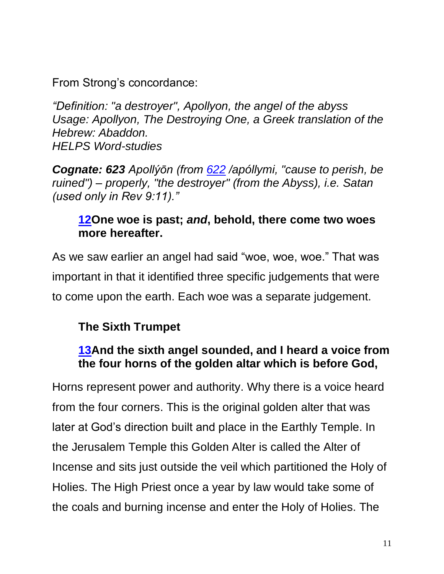From Strong's concordance:

*"Definition: "a destroyer", Apollyon, the angel of the abyss Usage: Apollyon, The Destroying One, a Greek translation of the Hebrew: Abaddon. HELPS Word-studies*

*Cognate: 623 Apollýōn (from [622](https://biblehub.com/greek/622.htm) /apóllymi, "cause to perish, be ruined") – properly, "the destroyer" (from the Abyss), i.e. Satan (used only in Rev 9:11)."*

### **[12O](https://biblehub.com/revelation/9-12.htm)ne woe is past;** *and***, behold, there come two woes more hereafter.**

As we saw earlier an angel had said "woe, woe, woe." That was important in that it identified three specific judgements that were to come upon the earth. Each woe was a separate judgement.

## **The Sixth Trumpet**

### **[13A](https://biblehub.com/revelation/9-13.htm)nd the sixth angel sounded, and I heard a voice from the four horns of the golden altar which is before God,**

Horns represent power and authority. Why there is a voice heard from the four corners. This is the original golden alter that was later at God's direction built and place in the Earthly Temple. In the Jerusalem Temple this Golden Alter is called the Alter of Incense and sits just outside the veil which partitioned the Holy of Holies. The High Priest once a year by law would take some of the coals and burning incense and enter the Holy of Holies. The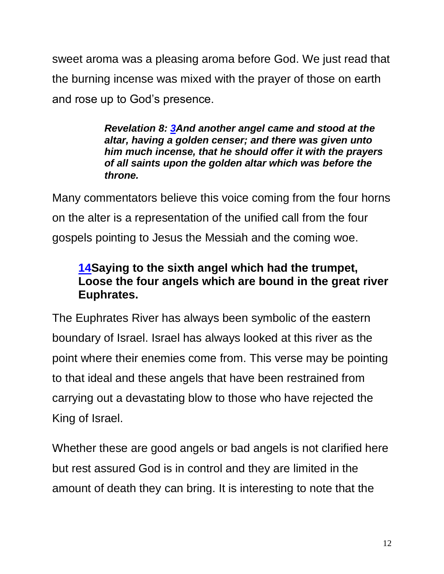sweet aroma was a pleasing aroma before God. We just read that the burning incense was mixed with the prayer of those on earth and rose up to God's presence.

> *Revelation 8: [3A](http://biblehub.com/revelation/8-3.htm)nd another angel came and stood at the altar, having a golden censer; and there was given unto him much incense, that he should offer it with the prayers of all saints upon the golden altar which was before the throne.*

Many commentators believe this voice coming from the four horns on the alter is a representation of the unified call from the four gospels pointing to Jesus the Messiah and the coming woe.

### **[14S](https://biblehub.com/revelation/9-14.htm)aying to the sixth angel which had the trumpet, Loose the four angels which are bound in the great river Euphrates.**

The Euphrates River has always been symbolic of the eastern boundary of Israel. Israel has always looked at this river as the point where their enemies come from. This verse may be pointing to that ideal and these angels that have been restrained from carrying out a devastating blow to those who have rejected the King of Israel.

Whether these are good angels or bad angels is not clarified here but rest assured God is in control and they are limited in the amount of death they can bring. It is interesting to note that the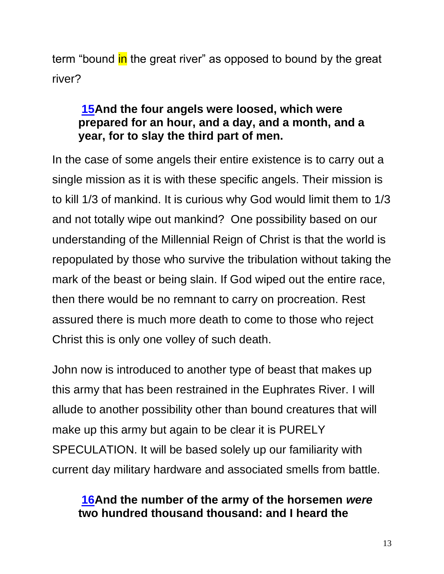term "bound in the great river" as opposed to bound by the great river?

### **[15A](https://biblehub.com/revelation/9-15.htm)nd the four angels were loosed, which were prepared for an hour, and a day, and a month, and a year, for to slay the third part of men.**

In the case of some angels their entire existence is to carry out a single mission as it is with these specific angels. Their mission is to kill 1/3 of mankind. It is curious why God would limit them to 1/3 and not totally wipe out mankind? One possibility based on our understanding of the Millennial Reign of Christ is that the world is repopulated by those who survive the tribulation without taking the mark of the beast or being slain. If God wiped out the entire race, then there would be no remnant to carry on procreation. Rest assured there is much more death to come to those who reject Christ this is only one volley of such death.

John now is introduced to another type of beast that makes up this army that has been restrained in the Euphrates River. I will allude to another possibility other than bound creatures that will make up this army but again to be clear it is PURELY SPECULATION. It will be based solely up our familiarity with current day military hardware and associated smells from battle.

#### **[16A](https://biblehub.com/revelation/9-16.htm)nd the number of the army of the horsemen** *were* **two hundred thousand thousand: and I heard the**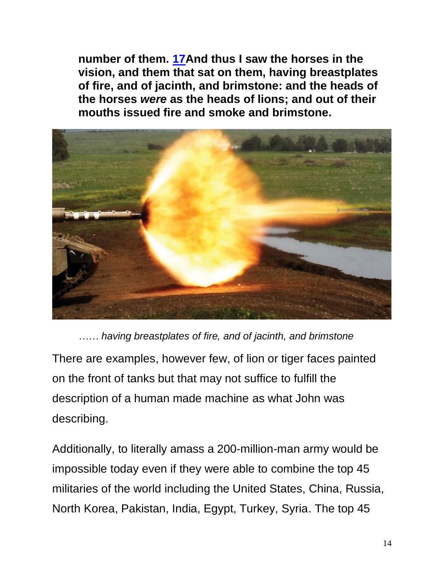**number of them. [17A](https://biblehub.com/revelation/9-17.htm)nd thus I saw the horses in the vision, and them that sat on them, having breastplates of fire, and of jacinth, and brimstone: and the heads of the horses** *were* **as the heads of lions; and out of their mouths issued fire and smoke and brimstone.**



*…… having breastplates of fire, and of jacinth, and brimstone* There are examples, however few, of lion or tiger faces painted on the front of tanks but that may not suffice to fulfill the description of a human made machine as what John was describing.

Additionally, to literally amass a 200-million-man army would be impossible today even if they were able to combine the top 45 militaries of the world including the United States, China, Russia, North Korea, Pakistan, India, Egypt, Turkey, Syria. The top 45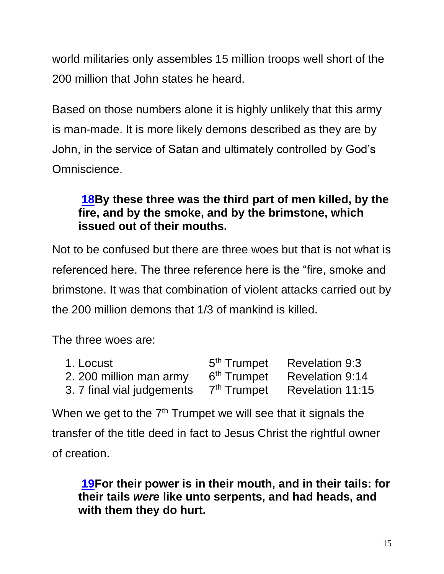world militaries only assembles 15 million troops well short of the 200 million that John states he heard.

Based on those numbers alone it is highly unlikely that this army is man-made. It is more likely demons described as they are by John, in the service of Satan and ultimately controlled by God's Omniscience.

### **[18B](https://biblehub.com/revelation/9-18.htm)y these three was the third part of men killed, by the fire, and by the smoke, and by the brimstone, which issued out of their mouths.**

Not to be confused but there are three woes but that is not what is referenced here. The three reference here is the "fire, smoke and brimstone. It was that combination of violent attacks carried out by the 200 million demons that 1/3 of mankind is killed.

The three woes are:

| 1. Locust                  | 5 <sup>th</sup> Trumpet | <b>Revelation 9:3</b>  |
|----------------------------|-------------------------|------------------------|
| 2. 200 million man army    | 6 <sup>th</sup> Trumpet | <b>Revelation 9:14</b> |
| 3. 7 final vial judgements | 7 <sup>th</sup> Trumpet | Revelation 11:15       |

When we get to the  $7<sup>th</sup>$  Trumpet we will see that it signals the transfer of the title deed in fact to Jesus Christ the rightful owner of creation.

**[19F](https://biblehub.com/revelation/9-19.htm)or their power is in their mouth, and in their tails: for their tails** *were* **like unto serpents, and had heads, and with them they do hurt.**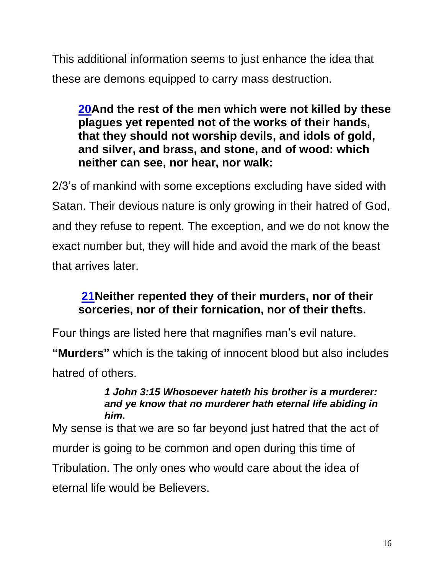This additional information seems to just enhance the idea that these are demons equipped to carry mass destruction.

**[20A](https://biblehub.com/revelation/9-20.htm)nd the rest of the men which were not killed by these plagues yet repented not of the works of their hands, that they should not worship devils, and idols of gold, and silver, and brass, and stone, and of wood: which neither can see, nor hear, nor walk:**

2/3's of mankind with some exceptions excluding have sided with Satan. Their devious nature is only growing in their hatred of God, and they refuse to repent. The exception, and we do not know the exact number but, they will hide and avoid the mark of the beast that arrives later.

## **[21N](https://biblehub.com/revelation/9-21.htm)either repented they of their murders, nor of their sorceries, nor of their fornication, nor of their thefts.**

Four things are listed here that magnifies man's evil nature.

**"Murders"** which is the taking of innocent blood but also includes hatred of others.

#### *1 John 3:15 Whosoever hateth his brother is a murderer: and ye know that no murderer hath eternal life abiding in him.*

My sense is that we are so far beyond just hatred that the act of murder is going to be common and open during this time of Tribulation. The only ones who would care about the idea of eternal life would be Believers.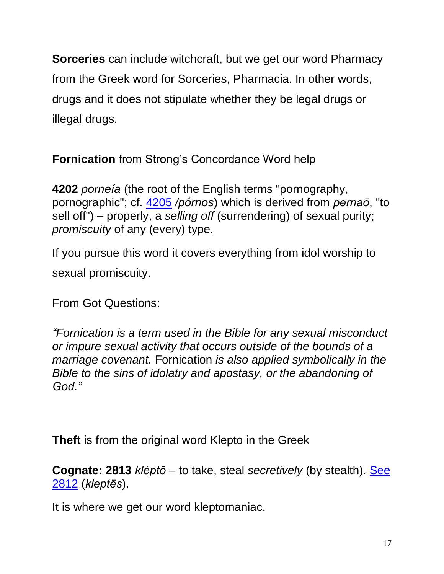**Sorceries** can include witchcraft, but we get our word Pharmacy from the Greek word for Sorceries, Pharmacia. In other words, drugs and it does not stipulate whether they be legal drugs or illegal drugs.

**Fornication** from Strong's Concordance Word help

**4202** *porneía* (the root of the English terms "pornography, pornographic"; cf. [4205](https://biblehub.com/greek/4205.htm) */pórnos*) which is derived from *pernaō*, "to sell off") – properly, a *selling off* (surrendering) of sexual purity; *promiscuity* of any (every) type.

If you pursue this word it covers everything from idol worship to sexual promiscuity.

From Got Questions:

*"Fornication is a term used in the Bible for any sexual misconduct or impure sexual activity that occurs outside of the bounds of a marriage covenant.* Fornication *is also applied symbolically in the Bible to the sins of idolatry and apostasy, or the abandoning of God."*

**Theft** is from the original word Klepto in the Greek

**Cognate: 2813** *kléptō* – to take, steal *secretively* (by stealth). [See](https://biblehub.com/greek/2812.htm)  [2812](https://biblehub.com/greek/2812.htm) (*kleptēs*).

It is where we get our word kleptomaniac.